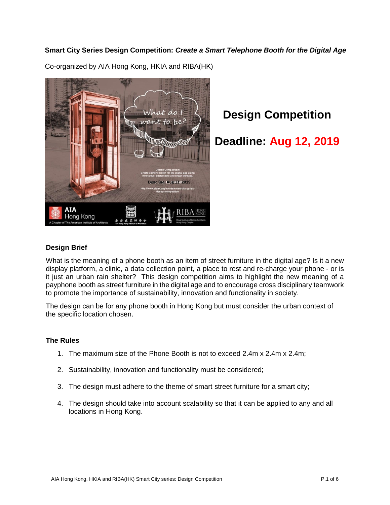## **Smart City Series Design Competition:** *Create a Smart Telephone Booth for the Digital Age*



Co-organized by AIA Hong Kong, HKIA and RIBA(HK)

# **Design Competition**

## **Deadline: Aug 12, 2019**

## **Design Brief**

What is the meaning of a phone booth as an item of street furniture in the digital age? Is it a new display platform, a clinic, a data collection point, a place to rest and re-charge your phone - or is it just an urban rain shelter? This design competition aims to highlight the new meaning of a payphone booth as street furniture in the digital age and to encourage cross disciplinary teamwork to promote the importance of sustainability, innovation and functionality in society.

The design can be for any phone booth in Hong Kong but must consider the urban context of the specific location chosen.

#### **The Rules**

- 1. The maximum size of the Phone Booth is not to exceed 2.4m x 2.4m x 2.4m;
- 2. Sustainability, innovation and functionality must be considered;
- 3. The design must adhere to the theme of smart street furniture for a smart city;
- 4. The design should take into account scalability so that it can be applied to any and all locations in Hong Kong.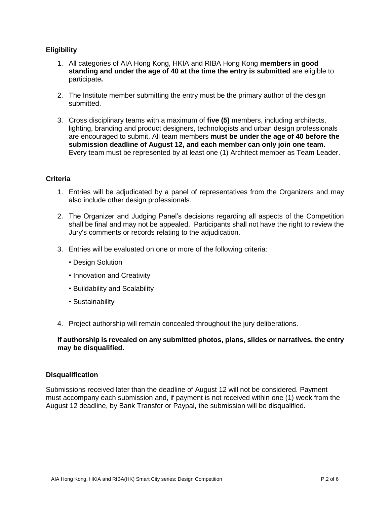## **Eligibility**

- 1. All categories of AIA Hong Kong, HKIA and RIBA Hong Kong **members in good standing and under the age of 40 at the time the entry is submitted** are eligible to participate**.**
- 2. The Institute member submitting the entry must be the primary author of the design submitted.
- 3. Cross disciplinary teams with a maximum of **five (5)** members, including architects, lighting, branding and product designers, technologists and urban design professionals are encouraged to submit. All team members **must be under the age of 40 before the submission deadline of August 12, and each member can only join one team.**  Every team must be represented by at least one (1) Architect member as Team Leader.

#### **Criteria**

- 1. Entries will be adjudicated by a panel of representatives from the Organizers and may also include other design professionals.
- 2. The Organizer and Judging Panel's decisions regarding all aspects of the Competition shall be final and may not be appealed. Participants shall not have the right to review the Jury's comments or records relating to the adjudication.
- 3. Entries will be evaluated on one or more of the following criteria:
	- Design Solution
	- Innovation and Creativity
	- Buildability and Scalability
	- Sustainability
- 4. Project authorship will remain concealed throughout the jury deliberations.

#### **If authorship is revealed on any submitted photos, plans, slides or narratives, the entry may be disqualified.**

#### **Disqualification**

Submissions received later than the deadline of August 12 will not be considered. Payment must accompany each submission and, if payment is not received within one (1) week from the August 12 deadline, by Bank Transfer or Paypal, the submission will be disqualified.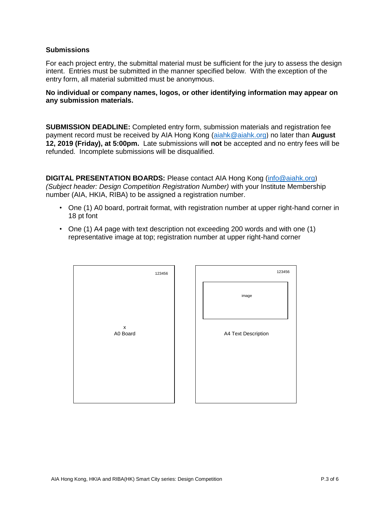#### **Submissions**

For each project entry, the submittal material must be sufficient for the jury to assess the design intent. Entries must be submitted in the manner specified below. With the exception of the entry form, all material submitted must be anonymous.

#### **No individual or company names, logos, or other identifying information may appear on any submission materials.**

**SUBMISSION DEADLINE:** Completed entry form, submission materials and registration fee payment record must be received by AIA Hong Kong [\(aiahk@aiahk.org](mailto:aiahk@aiahk.org)) no later than **August 12, 2019 (Friday), at 5:00pm.** Late submissions will **not** be accepted and no entry fees will be refunded. Incomplete submissions will be disqualified.

**DIGITAL PRESENTATION BOARDS:** Please contact AIA Hong Kong [\(info@aiahk.org](mailto:info@aiahk.org)) *(Subject header: Design Competition Registration Number)* with your Institute Membership number (AIA, HKIA, RIBA) to be assigned a registration number.

- One (1) A0 board, portrait format, with registration number at upper right-hand corner in 18 pt font
- One (1) A4 page with text description not exceeding 200 words and with one (1) representative image at top; registration number at upper right-hand corner

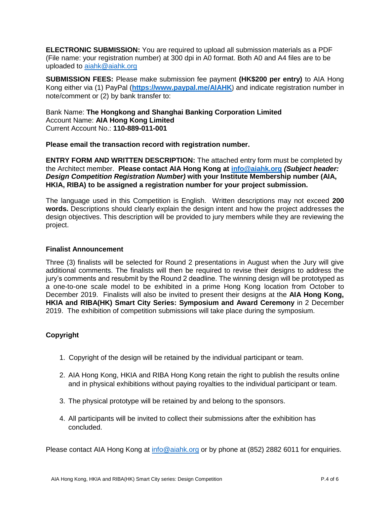**ELECTRONIC SUBMISSION:** You are required to upload all submission materials as a PDF (File name: your registration number) at 300 dpi in A0 format. Both A0 and A4 files are to be uploaded to [aiahk@aiahk.org](mailto:aiahk@aiahk.org)

**SUBMISSION FEES:** Please make submission fee payment **(HK\$200 per entry)** to AIA Hong Kong either via (1) PayPal (**<https://www.paypal.me/AIAHK>**) and indicate registration number in note/comment or (2) by bank transfer to:

Bank Name: **The Hongkong and Shanghai Banking Corporation Limited** Account Name: **AIA Hong Kong Limited** Current Account No.: **110-889-011-001**

**Please email the transaction record with registration number.** 

**ENTRY FORM AND WRITTEN DESCRIPTION:** The attached entry form must be completed by the Architect member. **Please contact AIA Hong Kong at [info@aiahk.org](mailto:info@aiahk.org)** *(Subject header: Design Competition Registration Number)* **with your Institute Membership number (AIA, HKIA, RIBA) to be assigned a registration number for your project submission.**

The language used in this Competition is English. Written descriptions may not exceed **200 words.** Descriptions should clearly explain the design intent and how the project addresses the design objectives. This description will be provided to jury members while they are reviewing the project.

### **Finalist Announcement**

Three (3) finalists will be selected for Round 2 presentations in August when the Jury will give additional comments. The finalists will then be required to revise their designs to address the jury's comments and resubmit by the Round 2 deadline. The winning design will be prototyped as a one-to-one scale model to be exhibited in a prime Hong Kong location from October to December 2019. Finalists will also be invited to present their designs at the **AIA Hong Kong, HKIA and RIBA(HK) Smart City Series: Symposium and Award Ceremony** in 2 December 2019. The exhibition of competition submissions will take place during the symposium.

## **Copyright**

- 1. Copyright of the design will be retained by the individual participant or team.
- 2. AIA Hong Kong, HKIA and RIBA Hong Kong retain the right to publish the results online and in physical exhibitions without paying royalties to the individual participant or team.
- 3. The physical prototype will be retained by and belong to the sponsors.
- 4. All participants will be invited to collect their submissions after the exhibition has concluded.

Please contact AIA Hong Kong at [info@aiahk.org](mailto:info@aiahk.org) or by phone at (852) 2882 6011 for enquiries.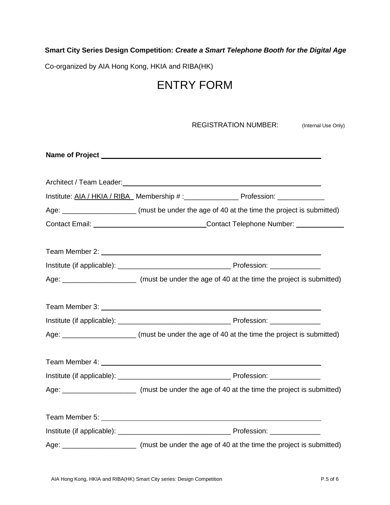## **Smart City Series Design Competition:** *Create a Smart Telephone Booth for the Digital Age*

Co-organized by AIA Hong Kong, HKIA and RIBA(HK)

## ENTRY FORM

| <b>REGISTRATION NUMBER:</b><br>(Internal Use Only)                                                     |  |
|--------------------------------------------------------------------------------------------------------|--|
|                                                                                                        |  |
|                                                                                                        |  |
|                                                                                                        |  |
| Age: ________________________(must be under the age of 40 at the time the project is submitted)        |  |
| Contact Email: _________________________________Contact Telephone Number: ____________                 |  |
|                                                                                                        |  |
|                                                                                                        |  |
| Age: _____________________________ (must be under the age of 40 at the time the project is submitted)  |  |
|                                                                                                        |  |
|                                                                                                        |  |
| Age: ________________________(must be under the age of 40 at the time the project is submitted)        |  |
|                                                                                                        |  |
|                                                                                                        |  |
| Age: _______________________________(must be under the age of 40 at the time the project is submitted) |  |
|                                                                                                        |  |
|                                                                                                        |  |
| Age: ______________________________(must be under the age of 40 at the time the project is submitted)  |  |
|                                                                                                        |  |